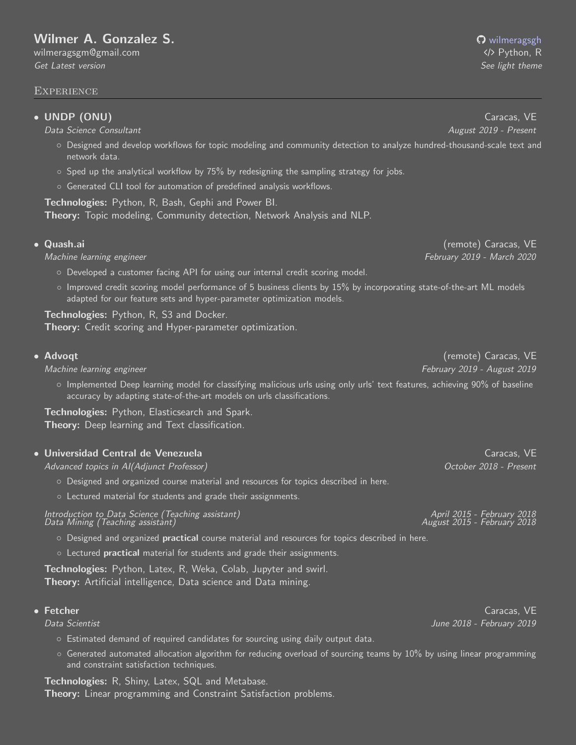# [Wilmer A. Gonzalez S.](https://linktr.ee/wilmerags) **Wilmer A. Gonzalez S. [wilmeragsgh](https://github.com/wilmeragsgh)**

[wilmeragsgm@gmail.com](mailto:wilmeragsgm@gmail.com) **/ Python, R** Python, R Python, R Python, R Python, R Python, R Python, R Python, R Python, R [Get Latest version](https://github.com/wilmeragsgh/resume/raw/master/wilmer_gonzalez_dark.pdf) [See light theme](https://github.com/wilmeragsgh/resume/raw/master/wilmer_gonzalez_light.pdf)

#### Experience

### • UNDP (ONU) Caracas, VE

Data Science Consultant August 2019 - Present

- Designed and develop workflows for topic modeling and community detection to analyze hundred-thousand-scale text and network data.
- $\circ$  Sped up the analytical workflow by 75% by redesigning the sampling strategy for jobs.
- Generated CLI tool for automation of predefined analysis workflows.

Technologies: Python, R, Bash, Gephi and Power BI. Theory: Topic modeling, Community detection, Network Analysis and NLP.

- Developed a customer facing API for using our internal credit scoring model.
- Improved credit scoring model performance of 5 business clients by 15% by incorporating state-of-the-art ML models adapted for our feature sets and hyper-parameter optimization models.

Technologies: Python, R, S3 and Docker. Theory: Credit scoring and Hyper-parameter optimization.

### • Advoqt (remote) Caracas, VE

Machine learning engineer February 2019 - August 2019

◦ Implemented Deep learning model for classifying malicious urls using only urls' text features, achieving 90% of baseline accuracy by adapting state-of-the-art models on urls classifications.

Technologies: Python, Elasticsearch and Spark. Theory: Deep learning and Text classification.

#### • Universidad Central de Venezuela Caracas, VE caracas, VE caracas, VE caracas, VE caracas, VE caracas, VE caracas, VE

Advanced topics in AI(Adjunct Professor) October 2018 - Present

- Designed and organized course material and resources for topics described in [here.](https://bit.ly/2VYchte)
- Lectured material for students and grade their assignments.

Introduction to Data Science (Teaching assistant) April 2015 - February 2018 Data Mining (Teaching assistant) August 2015 - February 2018

- Designed and organized practical course material and resources for topics described in [here.](https://bit.ly/2VYchte)
- Lectured practical material for students and grade their assignments.

Technologies: Python, Latex, R, Weka, Colab, Jupyter and swirl. Theory: Artificial intelligence, Data science and Data mining.

- Estimated demand of required candidates for sourcing using daily output data.
- Generated automated allocation algorithm for reducing overload of sourcing teams by 10% by using linear programming and constraint satisfaction techniques.

Technologies: R, Shiny, Latex, SQL and Metabase. Theory: Linear programming and Constraint Satisfaction problems.

• Quash.ai (remote) Caracas, VE Machine learning engineer February 2019 - March 2020

• Fetcher Caracas, VE Caracas, Caracas, Caracas, Caracas, Caracas, Caracas, Caracas, Caracas, Caracas, Caracas Data Scientist June 2018 - February 2019